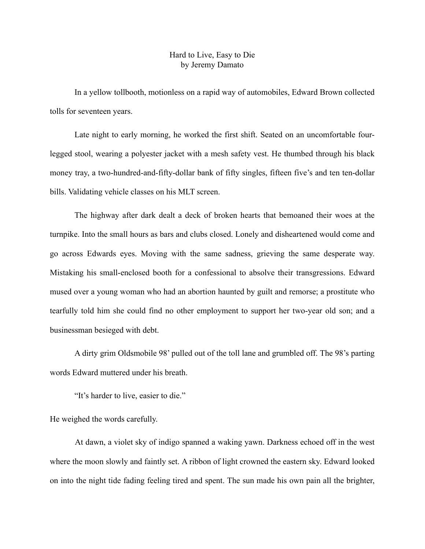## Hard to Live, Easy to Die by Jeremy Damato

In a yellow tollbooth, motionless on a rapid way of automobiles, Edward Brown collected tolls for seventeen years.

Late night to early morning, he worked the first shift. Seated on an uncomfortable fourlegged stool, wearing a polyester jacket with a mesh safety vest. He thumbed through his black money tray, a two-hundred-and-fifty-dollar bank of fifty singles, fifteen five's and ten ten-dollar bills. Validating vehicle classes on his MLT screen.

The highway after dark dealt a deck of broken hearts that bemoaned their woes at the turnpike. Into the small hours as bars and clubs closed. Lonely and disheartened would come and go across Edwards eyes. Moving with the same sadness, grieving the same desperate way. Mistaking his small-enclosed booth for a confessional to absolve their transgressions. Edward mused over a young woman who had an abortion haunted by guilt and remorse; a prostitute who tearfully told him she could find no other employment to support her two-year old son; and a businessman besieged with debt.

A dirty grim Oldsmobile 98' pulled out of the toll lane and grumbled off. The 98's parting words Edward muttered under his breath.

"It's harder to live, easier to die."

He weighed the words carefully.

At dawn, a violet sky of indigo spanned a waking yawn. Darkness echoed off in the west where the moon slowly and faintly set. A ribbon of light crowned the eastern sky. Edward looked on into the night tide fading feeling tired and spent. The sun made his own pain all the brighter,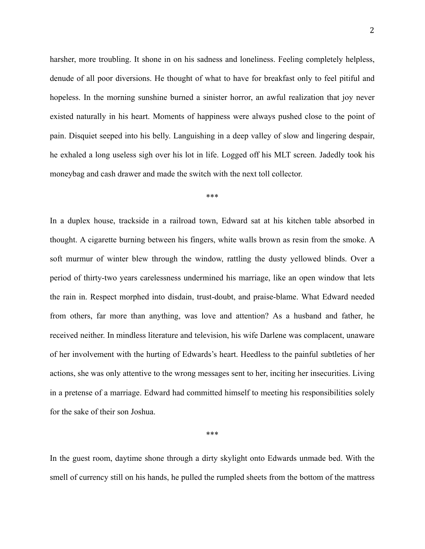harsher, more troubling. It shone in on his sadness and loneliness. Feeling completely helpless, denude of all poor diversions. He thought of what to have for breakfast only to feel pitiful and hopeless. In the morning sunshine burned a sinister horror, an awful realization that joy never existed naturally in his heart. Moments of happiness were always pushed close to the point of pain. Disquiet seeped into his belly. Languishing in a deep valley of slow and lingering despair, he exhaled a long useless sigh over his lot in life. Logged off his MLT screen. Jadedly took his moneybag and cash drawer and made the switch with the next toll collector.

\*\*\*

In a duplex house, trackside in a railroad town, Edward sat at his kitchen table absorbed in thought. A cigarette burning between his fingers, white walls brown as resin from the smoke. A soft murmur of winter blew through the window, rattling the dusty yellowed blinds. Over a period of thirty-two years carelessness undermined his marriage, like an open window that lets the rain in. Respect morphed into disdain, trust-doubt, and praise-blame. What Edward needed from others, far more than anything, was love and attention? As a husband and father, he received neither. In mindless literature and television, his wife Darlene was complacent, unaware of her involvement with the hurting of Edwards's heart. Heedless to the painful subtleties of her actions, she was only attentive to the wrong messages sent to her, inciting her insecurities. Living in a pretense of a marriage. Edward had committed himself to meeting his responsibilities solely for the sake of their son Joshua.

\*\*\*

In the guest room, daytime shone through a dirty skylight onto Edwards unmade bed. With the smell of currency still on his hands, he pulled the rumpled sheets from the bottom of the mattress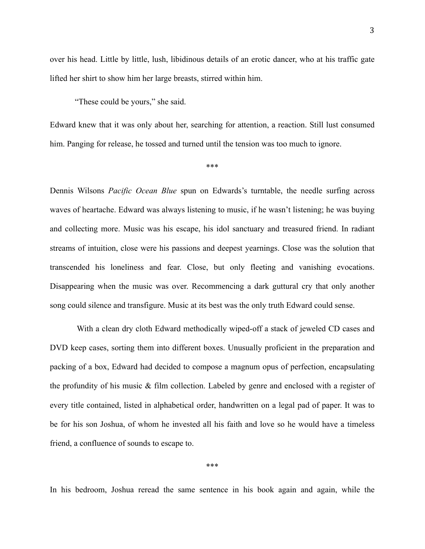over his head. Little by little, lush, libidinous details of an erotic dancer, who at his traffic gate lifted her shirt to show him her large breasts, stirred within him.

"These could be yours," she said.

Edward knew that it was only about her, searching for attention, a reaction. Still lust consumed him. Panging for release, he tossed and turned until the tension was too much to ignore.

\*\*\*

Dennis Wilsons *Pacific Ocean Blue* spun on Edwards's turntable, the needle surfing across waves of heartache. Edward was always listening to music, if he wasn't listening; he was buying and collecting more. Music was his escape, his idol sanctuary and treasured friend. In radiant streams of intuition, close were his passions and deepest yearnings. Close was the solution that transcended his loneliness and fear. Close, but only fleeting and vanishing evocations. Disappearing when the music was over. Recommencing a dark guttural cry that only another song could silence and transfigure. Music at its best was the only truth Edward could sense.

With a clean dry cloth Edward methodically wiped-off a stack of jeweled CD cases and DVD keep cases, sorting them into different boxes. Unusually proficient in the preparation and packing of a box, Edward had decided to compose a magnum opus of perfection, encapsulating the profundity of his music & film collection. Labeled by genre and enclosed with a register of every title contained, listed in alphabetical order, handwritten on a legal pad of paper. It was to be for his son Joshua, of whom he invested all his faith and love so he would have a timeless friend, a confluence of sounds to escape to.

\*\*\*

In his bedroom, Joshua reread the same sentence in his book again and again, while the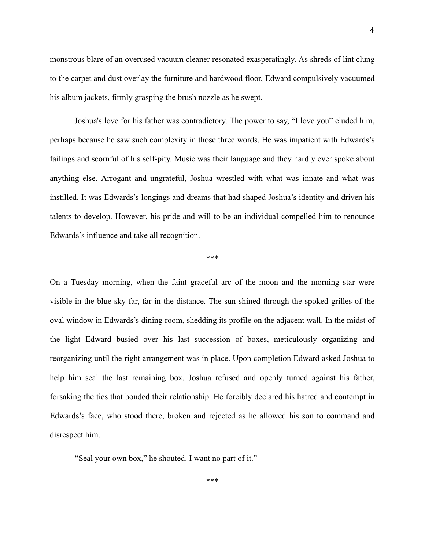monstrous blare of an overused vacuum cleaner resonated exasperatingly. As shreds of lint clung to the carpet and dust overlay the furniture and hardwood floor, Edward compulsively vacuumed his album jackets, firmly grasping the brush nozzle as he swept.

Joshua's love for his father was contradictory. The power to say, "I love you" eluded him, perhaps because he saw such complexity in those three words. He was impatient with Edwards's failings and scornful of his self-pity. Music was their language and they hardly ever spoke about anything else. Arrogant and ungrateful, Joshua wrestled with what was innate and what was instilled. It was Edwards's longings and dreams that had shaped Joshua's identity and driven his talents to develop. However, his pride and will to be an individual compelled him to renounce Edwards's influence and take all recognition.

## \*\*\*

On a Tuesday morning, when the faint graceful arc of the moon and the morning star were visible in the blue sky far, far in the distance. The sun shined through the spoked grilles of the oval window in Edwards's dining room, shedding its profile on the adjacent wall. In the midst of the light Edward busied over his last succession of boxes, meticulously organizing and reorganizing until the right arrangement was in place. Upon completion Edward asked Joshua to help him seal the last remaining box. Joshua refused and openly turned against his father, forsaking the ties that bonded their relationship. He forcibly declared his hatred and contempt in Edwards's face, who stood there, broken and rejected as he allowed his son to command and disrespect him.

"Seal your own box," he shouted. I want no part of it."

\*\*\*